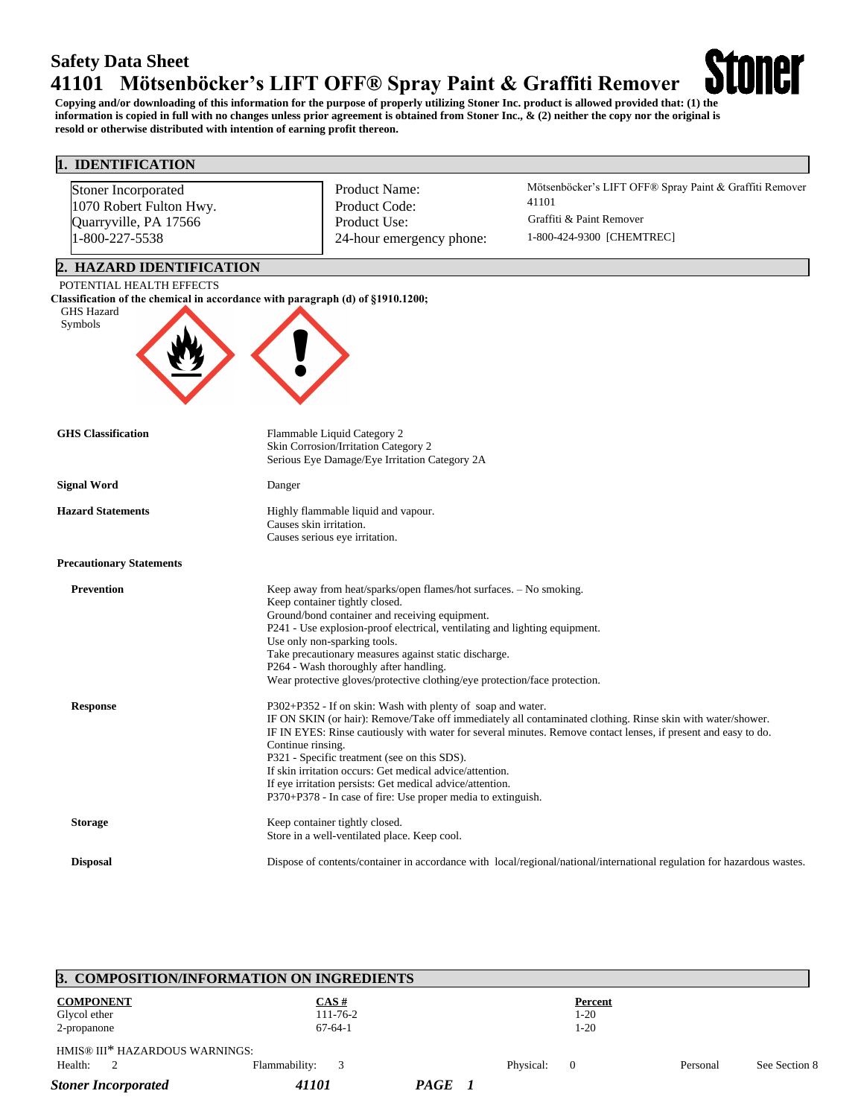# **Safety Data Sheet 41101 Mötsenböcker's LIFT OFF® Spray Paint & Graffiti Remover**

**Copying and/or downloading of this information for the purpose of properly utilizing Stoner Inc. product is allowed provided that: (1) the information is copied in full with no changes unless prior agreement is obtained from Stoner Inc., & (2) neither the copy nor the original is resold or otherwise distributed with intention of earning profit thereon.**

**Stoner** 

## **1. IDENTIFICATION**

| Stoner Incorporated<br>1070 Robert Fulton Hwy. | Product Name:<br>Product Code:                                                                                               | Mötsenböcker's LIFT OFF® Spray Paint & Graffiti Remover<br>41101                                                        |  |  |  |
|------------------------------------------------|------------------------------------------------------------------------------------------------------------------------------|-------------------------------------------------------------------------------------------------------------------------|--|--|--|
| Quarryville, PA 17566                          | Product Use:                                                                                                                 | Graffiti & Paint Remover                                                                                                |  |  |  |
| 1-800-227-5538                                 | 24-hour emergency phone:                                                                                                     | 1-800-424-9300 [CHEMTREC]                                                                                               |  |  |  |
|                                                |                                                                                                                              |                                                                                                                         |  |  |  |
| 2. HAZARD IDENTIFICATION                       |                                                                                                                              |                                                                                                                         |  |  |  |
| POTENTIAL HEALTH EFFECTS                       |                                                                                                                              |                                                                                                                         |  |  |  |
| <b>GHS Hazard</b>                              | Classification of the chemical in accordance with paragraph (d) of §1910.1200;                                               |                                                                                                                         |  |  |  |
| Symbols                                        |                                                                                                                              |                                                                                                                         |  |  |  |
|                                                |                                                                                                                              |                                                                                                                         |  |  |  |
|                                                |                                                                                                                              |                                                                                                                         |  |  |  |
|                                                |                                                                                                                              |                                                                                                                         |  |  |  |
|                                                |                                                                                                                              |                                                                                                                         |  |  |  |
|                                                |                                                                                                                              |                                                                                                                         |  |  |  |
| <b>GHS</b> Classification                      | Flammable Liquid Category 2                                                                                                  |                                                                                                                         |  |  |  |
|                                                | Skin Corrosion/Irritation Category 2                                                                                         |                                                                                                                         |  |  |  |
|                                                | Serious Eye Damage/Eye Irritation Category 2A                                                                                |                                                                                                                         |  |  |  |
| <b>Signal Word</b>                             | Danger                                                                                                                       |                                                                                                                         |  |  |  |
| <b>Hazard Statements</b>                       | Highly flammable liquid and vapour.                                                                                          |                                                                                                                         |  |  |  |
|                                                | Causes skin irritation.                                                                                                      |                                                                                                                         |  |  |  |
|                                                | Causes serious eye irritation.                                                                                               |                                                                                                                         |  |  |  |
| <b>Precautionary Statements</b>                |                                                                                                                              |                                                                                                                         |  |  |  |
| <b>Prevention</b>                              | Keep away from heat/sparks/open flames/hot surfaces. - No smoking.                                                           |                                                                                                                         |  |  |  |
|                                                | Keep container tightly closed.                                                                                               |                                                                                                                         |  |  |  |
|                                                | Ground/bond container and receiving equipment.<br>P241 - Use explosion-proof electrical, ventilating and lighting equipment. |                                                                                                                         |  |  |  |
|                                                | Use only non-sparking tools.                                                                                                 |                                                                                                                         |  |  |  |
|                                                | Take precautionary measures against static discharge.                                                                        |                                                                                                                         |  |  |  |
|                                                | P264 - Wash thoroughly after handling.<br>Wear protective gloves/protective clothing/eye protection/face protection.         |                                                                                                                         |  |  |  |
|                                                |                                                                                                                              |                                                                                                                         |  |  |  |
| <b>Response</b>                                | P302+P352 - If on skin: Wash with plenty of soap and water.                                                                  |                                                                                                                         |  |  |  |
|                                                |                                                                                                                              | IF ON SKIN (or hair): Remove/Take off immediately all contaminated clothing. Rinse skin with water/shower.              |  |  |  |
|                                                | Continue rinsing.                                                                                                            | IF IN EYES: Rinse cautiously with water for several minutes. Remove contact lenses, if present and easy to do.          |  |  |  |
|                                                | P321 - Specific treatment (see on this SDS).                                                                                 |                                                                                                                         |  |  |  |
|                                                | If skin irritation occurs: Get medical advice/attention.                                                                     |                                                                                                                         |  |  |  |
|                                                | If eye irritation persists: Get medical advice/attention.                                                                    |                                                                                                                         |  |  |  |
|                                                | P370+P378 - In case of fire: Use proper media to extinguish.                                                                 |                                                                                                                         |  |  |  |
| <b>Storage</b>                                 | Keep container tightly closed.                                                                                               |                                                                                                                         |  |  |  |
|                                                | Store in a well-ventilated place. Keep cool.                                                                                 |                                                                                                                         |  |  |  |
| <b>Disposal</b>                                |                                                                                                                              | Dispose of contents/container in accordance with local/regional/national/international regulation for hazardous wastes. |  |  |  |

|                                | 3. COMPOSITION/INFORMATION ON INGREDIENTS |        |                             |          |               |
|--------------------------------|-------------------------------------------|--------|-----------------------------|----------|---------------|
| <b>COMPONENT</b>               | CAS#                                      |        | Percent                     |          |               |
| Glycol ether                   | $111 - 76 - 2$                            |        | $1-20$                      |          |               |
| 2-propanone                    | $67-64-1$                                 |        | $1-20$                      |          |               |
| HMIS® III* HAZARDOUS WARNINGS: |                                           |        |                             |          |               |
| Health:<br>2                   | Flammability:<br>3                        |        | Physical:<br>$\overline{0}$ | Personal | See Section 8 |
| <b>Stoner Incorporated</b>     | 41101                                     | PAGE 1 |                             |          |               |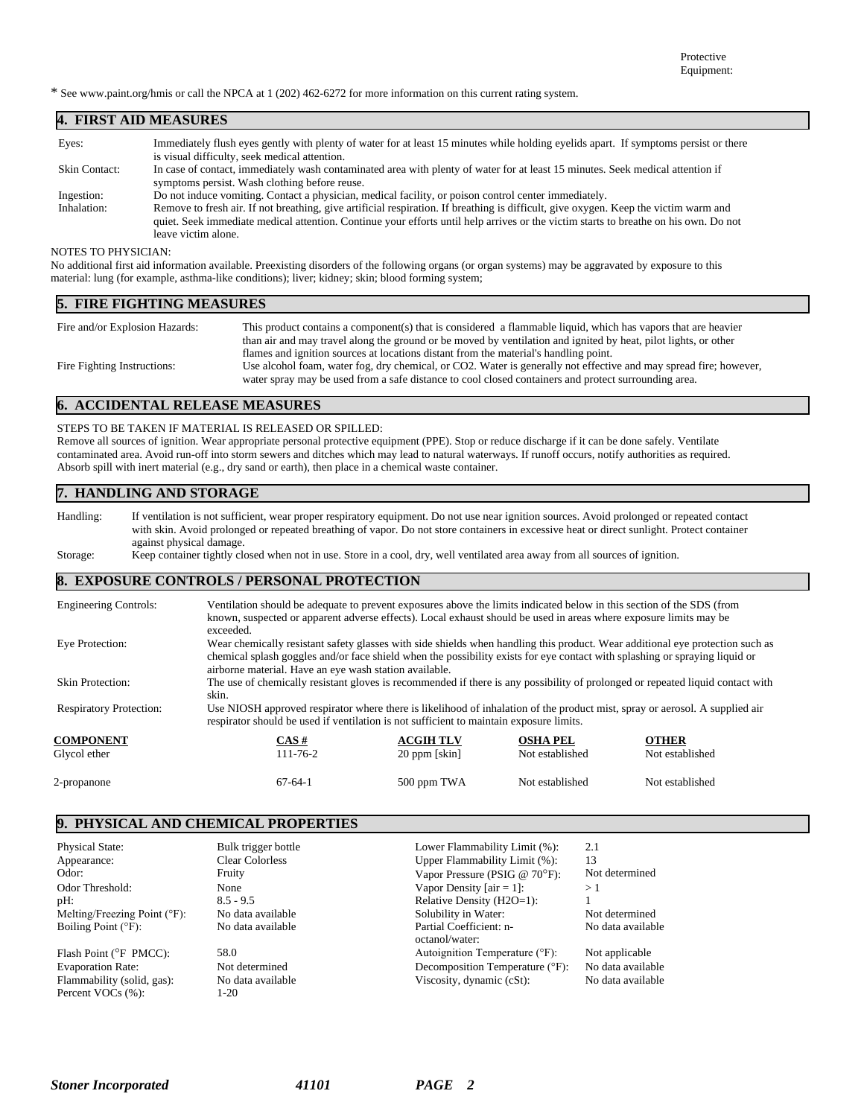\* See www.paint.org/hmis or call the NPCA at 1 (202) 462-6272 for more information on this current rating system.

### **4. FIRST AID MEASURES**

| Eyes:                | Immediately flush eyes gently with plenty of water for at least 15 minutes while holding eyelids apart. If symptoms persist or there<br>is visual difficulty, seek medical attention.                                                                                                               |
|----------------------|-----------------------------------------------------------------------------------------------------------------------------------------------------------------------------------------------------------------------------------------------------------------------------------------------------|
| <b>Skin Contact:</b> | In case of contact, immediately wash contaminated area with plenty of water for at least 15 minutes. Seek medical attention if<br>symptoms persist. Wash clothing before reuse.                                                                                                                     |
| Ingestion:           | Do not induce vomiting. Contact a physician, medical facility, or poison control center immediately.                                                                                                                                                                                                |
| Inhalation:          | Remove to fresh air. If not breathing, give artificial respiration. If breathing is difficult, give oxygen. Keep the victim warm and<br>quiet. Seek immediate medical attention. Continue your efforts until help arrives or the victim starts to breathe on his own. Do not<br>leave victim alone. |

#### NOTES TO PHYSICIAN:

No additional first aid information available. Preexisting disorders of the following organs (or organ systems) may be aggravated by exposure to this material: lung (for example, asthma-like conditions); liver; kidney; skin; blood forming system;

| <b>5. FIRE FIGHTING MEASURES</b> |                                                                                                                   |  |  |
|----------------------------------|-------------------------------------------------------------------------------------------------------------------|--|--|
| Fire and/or Explosion Hazards:   | This product contains a component(s) that is considered a flammable liquid, which has vapors that are heavier     |  |  |
|                                  | than air and may travel along the ground or be moved by ventilation and ignited by heat, pilot lights, or other   |  |  |
|                                  | flames and ignition sources at locations distant from the material's handling point.                              |  |  |
| Fire Fighting Instructions:      | Use alcohol foam, water fog, dry chemical, or CO2. Water is generally not effective and may spread fire; however, |  |  |
|                                  | water spray may be used from a safe distance to cool closed containers and protect surrounding area.              |  |  |

# **6. ACCIDENTAL RELEASE MEASURES**

#### STEPS TO BE TAKEN IF MATERIAL IS RELEASED OR SPILLED:

Remove all sources of ignition. Wear appropriate personal protective equipment (PPE). Stop or reduce discharge if it can be done safely. Ventilate contaminated area. Avoid run-off into storm sewers and ditches which may lead to natural waterways. If runoff occurs, notify authorities as required. Absorb spill with inert material (e.g., dry sand or earth), then place in a chemical waste container.

## **7. HANDLING AND STORAGE**

Handling: If ventilation is not sufficient, wear proper respiratory equipment. Do not use near ignition sources. Avoid prolonged or repeated contact with skin. Avoid prolonged or repeated breathing of vapor. Do not store containers in excessive heat or direct sunlight. Protect container against physical damage.

Storage: Keep container tightly closed when not in use. Store in a cool, dry, well ventilated area away from all sources of ignition.

#### **8. EXPOSURE CONTROLS / PERSONAL PROTECTION**

| <b>Engineering Controls:</b>   | Ventilation should be adequate to prevent exposures above the limits indicated below in this section of the SDS (from<br>known, suspected or apparent adverse effects). Local exhaust should be used in areas where exposure limits may be<br>exceeded.                                                                |                  |                 |                 |  |
|--------------------------------|------------------------------------------------------------------------------------------------------------------------------------------------------------------------------------------------------------------------------------------------------------------------------------------------------------------------|------------------|-----------------|-----------------|--|
| Eye Protection:                | Wear chemically resistant safety glasses with side shields when handling this product. Wear additional eye protection such as<br>chemical splash goggles and/or face shield when the possibility exists for eye contact with splashing or spraying liquid or<br>airborne material. Have an eye wash station available. |                  |                 |                 |  |
| Skin Protection:               | The use of chemically resistant gloves is recommended if there is any possibility of prolonged or repeated liquid contact with<br>skin.                                                                                                                                                                                |                  |                 |                 |  |
| <b>Respiratory Protection:</b> | Use NIOSH approved respirator where there is likelihood of inhalation of the product mist, spray or aerosol. A supplied air<br>respirator should be used if ventilation is not sufficient to maintain exposure limits.                                                                                                 |                  |                 |                 |  |
| <b>COMPONENT</b>               | $CAS \#$                                                                                                                                                                                                                                                                                                               | <b>ACGIH TLV</b> | <b>OSHA PEL</b> | <b>OTHER</b>    |  |
| Glycol ether                   | 111-76-2                                                                                                                                                                                                                                                                                                               | $20$ ppm [skin]  | Not established | Not established |  |
| 2-propanone                    | $67 - 64 - 1$                                                                                                                                                                                                                                                                                                          | 500 ppm TWA      | Not established | Not established |  |

#### **9. PHYSICAL AND CHEMICAL PROPERTIES**

| <b>Physical State:</b>                          | Bulk trigger bottle       | Lower Flammability Limit (%):             | 2.1               |
|-------------------------------------------------|---------------------------|-------------------------------------------|-------------------|
| Appearance:                                     | <b>Clear Colorless</b>    | Upper Flammability Limit (%):             | 13                |
| Odor:                                           | Fruity                    | Vapor Pressure (PSIG @ $70^{\circ}$ F):   | Not determined    |
| Odor Threshold:                                 | None                      | Vapor Density [ $air = 1$ ]:              | >1                |
| pH:                                             | $8.5 - 9.5$               | Relative Density (H2O=1):                 |                   |
| Melting/Freezing Point $(°F)$ :                 | No data available         | Solubility in Water:                      | Not determined    |
| Boiling Point $(^{\circ}F)$ :                   | No data available         | Partial Coefficient: n-<br>octanol/water: | No data available |
| Flash Point ( ${}^{\circ}$ F PMCC):             | 58.0                      | Autoignition Temperature (°F):            | Not applicable    |
| <b>Evaporation Rate:</b>                        | Not determined            | Decomposition Temperature (°F):           | No data available |
| Flammability (solid, gas):<br>Percent VOCs (%): | No data available<br>l-20 | Viscosity, dynamic (cSt):                 | No data available |